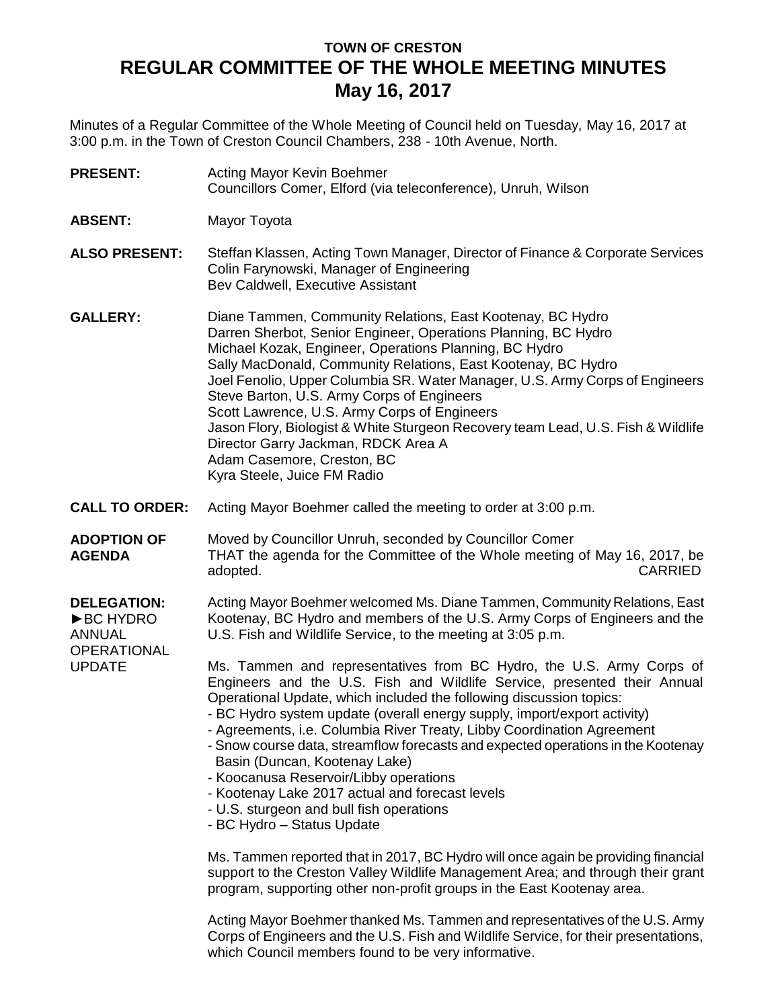# **TOWN OF CRESTON REGULAR COMMITTEE OF THE WHOLE MEETING MINUTES May 16, 2017**

Minutes of a Regular Committee of the Whole Meeting of Council held on Tuesday, May 16, 2017 at 3:00 p.m. in the Town of Creston Council Chambers, 238 - 10th Avenue, North.

| <b>PRESENT:</b>                                                                  | Acting Mayor Kevin Boehmer<br>Councillors Comer, Elford (via teleconference), Unruh, Wilson                                                                                                                                                                                                                                                                                                                                                                                                                                                                                                                                                                               |
|----------------------------------------------------------------------------------|---------------------------------------------------------------------------------------------------------------------------------------------------------------------------------------------------------------------------------------------------------------------------------------------------------------------------------------------------------------------------------------------------------------------------------------------------------------------------------------------------------------------------------------------------------------------------------------------------------------------------------------------------------------------------|
| <b>ABSENT:</b>                                                                   | Mayor Toyota                                                                                                                                                                                                                                                                                                                                                                                                                                                                                                                                                                                                                                                              |
| <b>ALSO PRESENT:</b>                                                             | Steffan Klassen, Acting Town Manager, Director of Finance & Corporate Services<br>Colin Farynowski, Manager of Engineering<br>Bev Caldwell, Executive Assistant                                                                                                                                                                                                                                                                                                                                                                                                                                                                                                           |
| <b>GALLERY:</b>                                                                  | Diane Tammen, Community Relations, East Kootenay, BC Hydro<br>Darren Sherbot, Senior Engineer, Operations Planning, BC Hydro<br>Michael Kozak, Engineer, Operations Planning, BC Hydro<br>Sally MacDonald, Community Relations, East Kootenay, BC Hydro<br>Joel Fenolio, Upper Columbia SR. Water Manager, U.S. Army Corps of Engineers<br>Steve Barton, U.S. Army Corps of Engineers<br>Scott Lawrence, U.S. Army Corps of Engineers<br>Jason Flory, Biologist & White Sturgeon Recovery team Lead, U.S. Fish & Wildlife<br>Director Garry Jackman, RDCK Area A<br>Adam Casemore, Creston, BC<br>Kyra Steele, Juice FM Radio                                             |
| <b>CALL TO ORDER:</b>                                                            | Acting Mayor Boehmer called the meeting to order at 3:00 p.m.                                                                                                                                                                                                                                                                                                                                                                                                                                                                                                                                                                                                             |
| <b>ADOPTION OF</b><br><b>AGENDA</b>                                              | Moved by Councillor Unruh, seconded by Councillor Comer<br>THAT the agenda for the Committee of the Whole meeting of May 16, 2017, be<br><b>CARRIED</b><br>adopted.                                                                                                                                                                                                                                                                                                                                                                                                                                                                                                       |
| <b>DELEGATION:</b><br>▶BC HYDRO<br><b>ANNUAL</b><br>OPERATIONAL<br><b>UPDATE</b> | Acting Mayor Boehmer welcomed Ms. Diane Tammen, Community Relations, East<br>Kootenay, BC Hydro and members of the U.S. Army Corps of Engineers and the<br>U.S. Fish and Wildlife Service, to the meeting at 3:05 p.m.                                                                                                                                                                                                                                                                                                                                                                                                                                                    |
|                                                                                  | Ms. Tammen and representatives from BC Hydro, the U.S. Army Corps of<br>Engineers and the U.S. Fish and Wildlife Service, presented their Annual<br>Operational Update, which included the following discussion topics:<br>- BC Hydro system update (overall energy supply, import/export activity)<br>- Agreements, i.e. Columbia River Treaty, Libby Coordination Agreement<br>- Snow course data, streamflow forecasts and expected operations in the Kootenay<br>Basin (Duncan, Kootenay Lake)<br>- Koocanusa Reservoir/Libby operations<br>- Kootenay Lake 2017 actual and forecast levels<br>- U.S. sturgeon and bull fish operations<br>- BC Hydro - Status Update |
|                                                                                  | Ms. Tammen reported that in 2017, BC Hydro will once again be providing financial<br>support to the Creston Valley Wildlife Management Area; and through their grant<br>program, supporting other non-profit groups in the East Kootenay area.                                                                                                                                                                                                                                                                                                                                                                                                                            |
|                                                                                  | Acting Mayor Boehmer thanked Ms. Tammen and representatives of the U.S. Army<br>Corps of Engineers and the U.S. Fish and Wildlife Service, for their presentations,                                                                                                                                                                                                                                                                                                                                                                                                                                                                                                       |

which Council members found to be very informative.